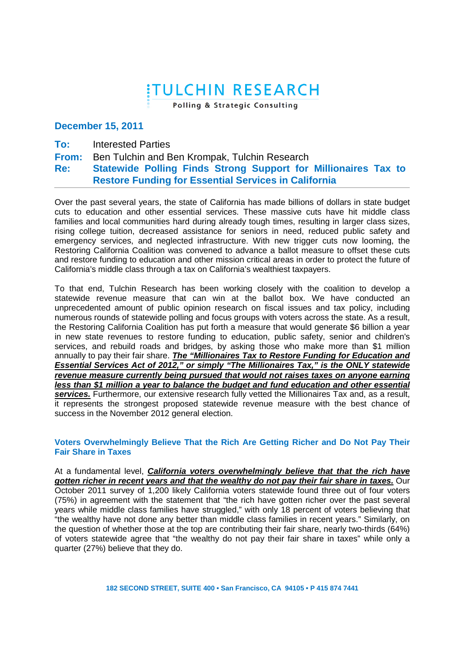# **ITULCHIN RESEARCH**

Polling & Strategic Consulting

## **December 15, 2011**

**To:** Interested Parties

#### **From:**  Ben Tulchin and Ben Krompak, Tulchin Research

#### **Re: Statewide Polling Finds Strong Support for Millionaires Tax to Restore Funding for Essential Services in California**

Over the past several years, the state of California has made billions of dollars in state budget cuts to education and other essential services. These massive cuts have hit middle class families and local communities hard during already tough times, resulting in larger class sizes, rising college tuition, decreased assistance for seniors in need, reduced public safety and emergency services, and neglected infrastructure. With new trigger cuts now looming, the Restoring California Coalition was convened to advance a ballot measure to offset these cuts and restore funding to education and other mission critical areas in order to protect the future of California's middle class through a tax on California's wealthiest taxpayers.

To that end, Tulchin Research has been working closely with the coalition to develop a statewide revenue measure that can win at the ballot box. We have conducted an unprecedented amount of public opinion research on fiscal issues and tax policy, including numerous rounds of statewide polling and focus groups with voters across the state. As a result, the Restoring California Coalition has put forth a measure that would generate \$6 billion a year in new state revenues to restore funding to education, public safety, senior and children's services, and rebuild roads and bridges, by asking those who make more than \$1 million annually to pay their fair share. **The "Millionaires Tax to Restore Funding for Education and Essential Services Act of 2012," or simply "The Millionaires Tax," is the ONLY statewide revenue measure currently being pursued that would not raises taxes on anyone earning less than \$1 million a year to balance the budget and fund education and other essential services.** Furthermore, our extensive research fully vetted the Millionaires Tax and, as a result, it represents the strongest proposed statewide revenue measure with the best chance of success in the November 2012 general election.

## **Voters Overwhelmingly Believe That the Rich Are Getting Richer and Do Not Pay Their Fair Share in Taxes**

At a fundamental level, **California voters overwhelmingly believe that that the rich have gotten richer in recent years and that the wealthy do not pay their fair share in taxes.** Our October 2011 survey of 1,200 likely California voters statewide found three out of four voters (75%) in agreement with the statement that "the rich have gotten richer over the past several years while middle class families have struggled," with only 18 percent of voters believing that "the wealthy have not done any better than middle class families in recent years." Similarly, on the question of whether those at the top are contributing their fair share, nearly two-thirds (64%) of voters statewide agree that "the wealthy do not pay their fair share in taxes" while only a quarter (27%) believe that they do.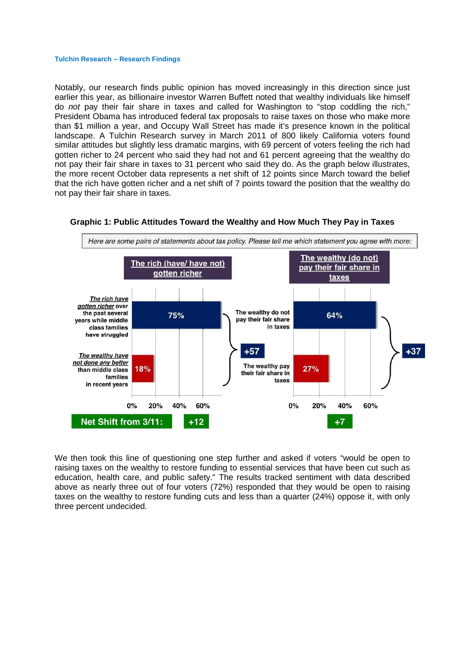Notably, our research finds public opinion has moved increasingly in this direction since just earlier this year, as billionaire investor Warren Buffett noted that wealthy individuals like himself do not pay their fair share in taxes and called for Washington to "stop coddling the rich," President Obama has introduced federal tax proposals to raise taxes on those who make more than \$1 million a year, and Occupy Wall Street has made it's presence known in the political landscape. A Tulchin Research survey in March 2011 of 800 likely California voters found similar attitudes but slightly less dramatic margins, with 69 percent of voters feeling the rich had gotten richer to 24 percent who said they had not and 61 percent agreeing that the wealthy do not pay their fair share in taxes to 31 percent who said they do. As the graph below illustrates, the more recent October data represents a net shift of 12 points since March toward the belief that the rich have gotten richer and a net shift of 7 points toward the position that the wealthy do not pay their fair share in taxes.



#### **Graphic 1: Public Attitudes Toward the Wealthy and How Much They Pay in Taxes**

We then took this line of questioning one step further and asked if voters "would be open to raising taxes on the wealthy to restore funding to essential services that have been cut such as education, health care, and public safety." The results tracked sentiment with data described above as nearly three out of four voters (72%) responded that they would be open to raising taxes on the wealthy to restore funding cuts and less than a quarter (24%) oppose it, with only three percent undecided.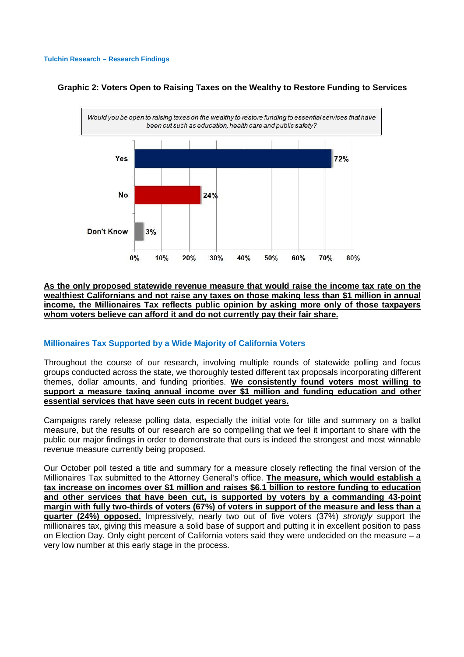

## **Graphic 2: Voters Open to Raising Taxes on the Wealthy to Restore Funding to Services**

## **As the only proposed statewide revenue measure that would raise the income tax rate on the wealthiest Californians and not raise any taxes on those making less than \$1 million in annual income, the Millionaires Tax reflects public opinion by asking more only of those taxpayers whom voters believe can afford it and do not currently pay their fair share.**

## **Millionaires Tax Supported by a Wide Majority of California Voters**

Throughout the course of our research, involving multiple rounds of statewide polling and focus groups conducted across the state, we thoroughly tested different tax proposals incorporating different themes, dollar amounts, and funding priorities. **We consistently found voters most willing to support a measure taxing annual income over \$1 million and funding education and other essential services that have seen cuts in recent budget years.**

Campaigns rarely release polling data, especially the initial vote for title and summary on a ballot measure, but the results of our research are so compelling that we feel it important to share with the public our major findings in order to demonstrate that ours is indeed the strongest and most winnable revenue measure currently being proposed.

Our October poll tested a title and summary for a measure closely reflecting the final version of the Millionaires Tax submitted to the Attorney General's office. **The measure, which would establish a tax increase on incomes over \$1 million and raises \$6.1 billion to restore funding to education and other services that have been cut, is supported by voters by a commanding 43-point margin with fully two-thirds of voters (67%) of voters in support of the measure and less than a quarter (24%) opposed.** Impressively, nearly two out of five voters (37%) strongly support the millionaires tax, giving this measure a solid base of support and putting it in excellent position to pass on Election Day. Only eight percent of California voters said they were undecided on the measure – a very low number at this early stage in the process.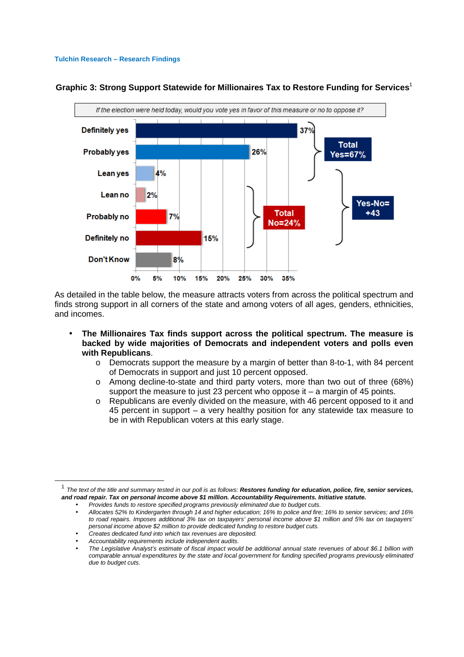

**Graphic 3: Strong Support Statewide for Millionaires Tax to Restore Funding for Services**<sup>1</sup>

As detailed in the table below, the measure attracts voters from across the political spectrum and finds strong support in all corners of the state and among voters of all ages, genders, ethnicities, and incomes.

- **The Millionaires Tax finds support across the political spectrum. The measure is backed by wide majorities of Democrats and independent voters and polls even with Republicans**.
	- o Democrats support the measure by a margin of better than 8-to-1, with 84 percent of Democrats in support and just 10 percent opposed.
	- o Among decline-to-state and third party voters, more than two out of three (68%) support the measure to just 23 percent who oppose it – a margin of 45 points.
	- o Republicans are evenly divided on the measure, with 46 percent opposed to it and 45 percent in support – a very healthy position for any statewide tax measure to be in with Republican voters at this early stage.

1

<sup>&</sup>lt;sup>1</sup> The text of the title and summary tested in our poll is as follows: **Restores funding for education, police, fire, senior services, and road repair. Tax on personal income above \$1 million. Accountability Requirements. Initiative statute.** 

<sup>•</sup> Provides funds to restore specified programs previously eliminated due to budget cuts.

<sup>•</sup> Allocates 52% to Kindergarten through 14 and higher education; 16% to police and fire; 16% to senior services; and 16% to road repairs. Imposes additional 3% tax on taxpayers' personal income above \$1 million and 5% tax on taxpayers' personal income above \$2 million to provide dedicated funding to restore budget cuts.

<sup>•</sup> Creates dedicated fund into which tax revenues are deposited.

<sup>•</sup> Accountability requirements include independent audits.

<sup>•</sup> The Legislative Analyst's estimate of fiscal impact would be additional annual state revenues of about \$6.1 billion with comparable annual expenditures by the state and local government for funding specified programs previously eliminated due to budget cuts.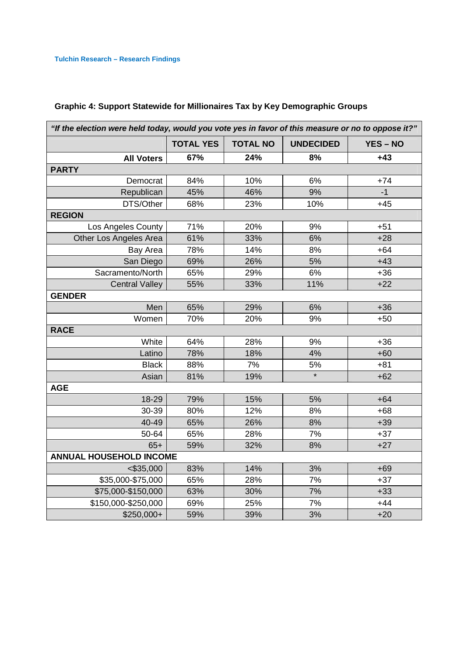| "If the election were held today, would you vote yes in favor of this measure or no to oppose it?" |                  |                 |                  |                 |
|----------------------------------------------------------------------------------------------------|------------------|-----------------|------------------|-----------------|
|                                                                                                    | <b>TOTAL YES</b> | <b>TOTAL NO</b> | <b>UNDECIDED</b> | <b>YES - NO</b> |
| <b>All Voters</b>                                                                                  | 67%              | 24%             | 8%               | $+43$           |
| <b>PARTY</b>                                                                                       |                  |                 |                  |                 |
| Democrat                                                                                           | 84%              | 10%             | 6%               | $+74$           |
| Republican                                                                                         | 45%              | 46%             | 9%               | $-1$            |
| DTS/Other                                                                                          | 68%              | 23%             | 10%              | $+45$           |
| <b>REGION</b>                                                                                      |                  |                 |                  |                 |
| Los Angeles County                                                                                 | 71%              | 20%             | 9%               | $+51$           |
| Other Los Angeles Area                                                                             | 61%              | 33%             | 6%               | $+28$           |
| <b>Bay Area</b>                                                                                    | 78%              | 14%             | 8%               | $+64$           |
| San Diego                                                                                          | 69%              | 26%             | 5%               | $+43$           |
| Sacramento/North                                                                                   | 65%              | 29%             | 6%               | $+36$           |
| <b>Central Valley</b>                                                                              | 55%              | 33%             | 11%              | $+22$           |
| <b>GENDER</b>                                                                                      |                  |                 |                  |                 |
| Men                                                                                                | 65%              | 29%             | 6%               | $+36$           |
| Women                                                                                              | 70%              | 20%             | 9%               | $+50$           |
| <b>RACE</b>                                                                                        |                  |                 |                  |                 |
| White                                                                                              | 64%              | 28%             | 9%               | $+36$           |
| Latino                                                                                             | 78%              | 18%             | 4%               | $+60$           |
| <b>Black</b>                                                                                       | 88%              | 7%              | 5%               | $+81$           |
| Asian                                                                                              | 81%              | 19%             | $\star$          | $+62$           |
| <b>AGE</b>                                                                                         |                  |                 |                  |                 |
| 18-29                                                                                              | 79%              | 15%             | 5%               | $+64$           |
| 30-39                                                                                              | 80%              | 12%             | 8%               | $+68$           |
| 40-49                                                                                              | 65%              | 26%             | 8%               | $+39$           |
| 50-64                                                                                              | 65%              | 28%             | 7%               | $+37$           |
| $65+$                                                                                              | 59%              | 32%             | 8%               | $+27$           |
| <b>ANNUAL HOUSEHOLD INCOME</b>                                                                     |                  |                 |                  |                 |
| $<$ \$35,000                                                                                       | 83%              | 14%             | 3%               | $+69$           |
| \$35,000-\$75,000                                                                                  | 65%              | 28%             | 7%               | $+37$           |
| \$75,000-\$150,000                                                                                 | 63%              | 30%             | 7%               | $+33$           |
| \$150,000-\$250,000                                                                                | 69%              | 25%             | 7%               | $+44$           |
| \$250,000+                                                                                         | 59%              | 39%             | 3%               | $+20$           |

## **Graphic 4: Support Statewide for Millionaires Tax by Key Demographic Groups**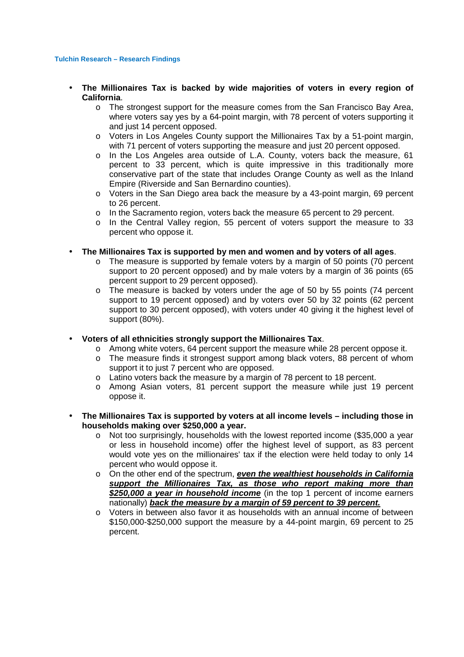- **The Millionaires Tax is backed by wide majorities of voters in every region of California**.
	- o The strongest support for the measure comes from the San Francisco Bay Area, where voters say yes by a 64-point margin, with 78 percent of voters supporting it and just 14 percent opposed.
	- $\circ$  Voters in Los Angeles County support the Millionaires Tax by a 51-point margin, with 71 percent of voters supporting the measure and just 20 percent opposed.
	- o In the Los Angeles area outside of L.A. County, voters back the measure, 61 percent to 33 percent, which is quite impressive in this traditionally more conservative part of the state that includes Orange County as well as the Inland Empire (Riverside and San Bernardino counties).
	- o Voters in the San Diego area back the measure by a 43-point margin, 69 percent to 26 percent.
	- o In the Sacramento region, voters back the measure 65 percent to 29 percent.
	- o In the Central Valley region, 55 percent of voters support the measure to 33 percent who oppose it.
- **The Millionaires Tax is supported by men and women and by voters of all ages**.
	- $\circ$  The measure is supported by female voters by a margin of 50 points (70 percent support to 20 percent opposed) and by male voters by a margin of 36 points (65 percent support to 29 percent opposed).
	- o The measure is backed by voters under the age of 50 by 55 points (74 percent support to 19 percent opposed) and by voters over 50 by 32 points (62 percent support to 30 percent opposed), with voters under 40 giving it the highest level of support (80%).
- **Voters of all ethnicities strongly support the Millionaires Tax**.
	- $\circ$  Among white voters, 64 percent support the measure while 28 percent oppose it.
	- o The measure finds it strongest support among black voters, 88 percent of whom support it to just 7 percent who are opposed.
	- o Latino voters back the measure by a margin of 78 percent to 18 percent.
	- o Among Asian voters, 81 percent support the measure while just 19 percent oppose it.
- **The Millionaires Tax is supported by voters at all income levels including those in households making over \$250,000 a year.**
	- o Not too surprisingly, households with the lowest reported income (\$35,000 a year or less in household income) offer the highest level of support, as 83 percent would vote yes on the millionaires' tax if the election were held today to only 14 percent who would oppose it.
	- o On the other end of the spectrum, **even the wealthiest households in California support the Millionaires Tax, as those who report making more than \$250,000 a year in household income** (in the top 1 percent of income earners nationally) **back the measure by a margin of 59 percent to 39 percent.**
	- o Voters in between also favor it as households with an annual income of between \$150,000-\$250,000 support the measure by a 44-point margin, 69 percent to 25 percent.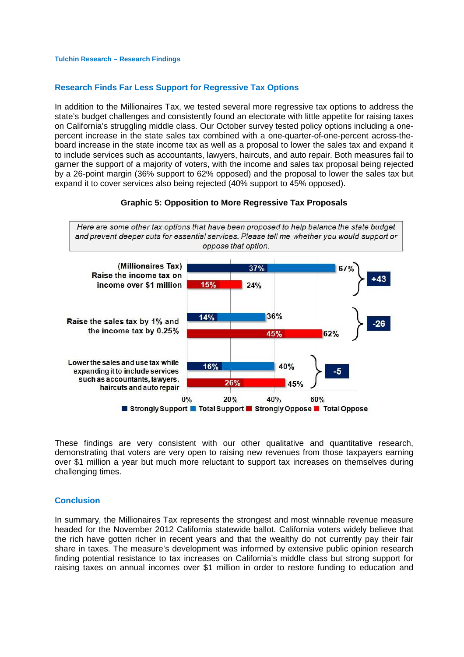## **Research Finds Far Less Support for Regressive Tax Options**

In addition to the Millionaires Tax, we tested several more regressive tax options to address the state's budget challenges and consistently found an electorate with little appetite for raising taxes on California's struggling middle class. Our October survey tested policy options including a onepercent increase in the state sales tax combined with a one-quarter-of-one-percent across-theboard increase in the state income tax as well as a proposal to lower the sales tax and expand it to include services such as accountants, lawyers, haircuts, and auto repair. Both measures fail to garner the support of a majority of voters, with the income and sales tax proposal being rejected by a 26-point margin (36% support to 62% opposed) and the proposal to lower the sales tax but expand it to cover services also being rejected (40% support to 45% opposed).



**Graphic 5: Opposition to More Regressive Tax Proposals** 

These findings are very consistent with our other qualitative and quantitative research, demonstrating that voters are very open to raising new revenues from those taxpayers earning over \$1 million a year but much more reluctant to support tax increases on themselves during challenging times.

#### **Conclusion**

In summary, the Millionaires Tax represents the strongest and most winnable revenue measure headed for the November 2012 California statewide ballot. California voters widely believe that the rich have gotten richer in recent years and that the wealthy do not currently pay their fair share in taxes. The measure's development was informed by extensive public opinion research finding potential resistance to tax increases on California's middle class but strong support for raising taxes on annual incomes over \$1 million in order to restore funding to education and